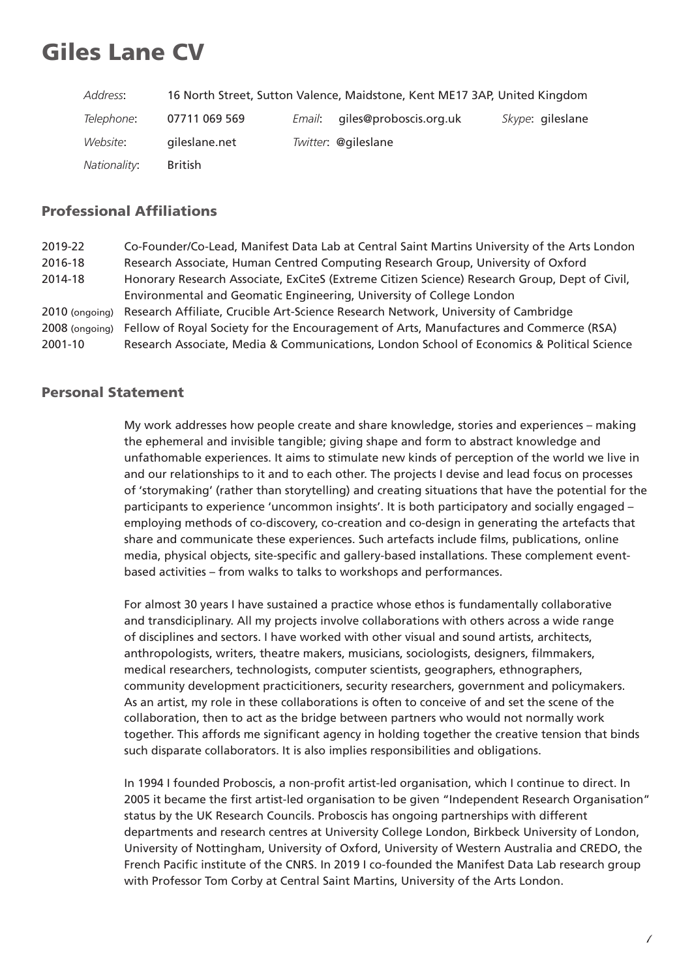# Giles Lane CV

| Address:             |                | 16 North Street, Sutton Valence, Maidstone, Kent ME17 3AP, United Kingdom |                  |
|----------------------|----------------|---------------------------------------------------------------------------|------------------|
| <i>Telephone:</i>    | 07711 069 569  | <i>Email</i> : giles@proboscis.org.uk                                     | Skype: gileslane |
| <i>Website:</i>      | gileslane.net  | Twitter: @gileslane                                                       |                  |
| <i>Nationality</i> : | <b>British</b> |                                                                           |                  |

# Professional Affiliations

2019-22 Co-Founder/Co-Lead, Manifest Data Lab at Central Saint Martins University of the Arts London 2016-18 Research Associate, Human Centred Computing Research Group, University of Oxford 2014-18 Honorary Research Associate, ExCiteS (Extreme Citizen Science) Research Group, Dept of Civil, Environmental and Geomatic Engineering, University of College London 2010 (ongoing) Research Affiliate, Crucible Art-Science Research Network, University of Cambridge 2008 (ongoing) Fellow of Royal Society for the Encouragement of Arts, Manufactures and Commerce (RSA) 2001-10 Research Associate, Media & Communications, London School of Economics & Political Science

## Personal Statement

My work addresses how people create and share knowledge, stories and experiences – making the ephemeral and invisible tangible; giving shape and form to abstract knowledge and unfathomable experiences. It aims to stimulate new kinds of perception of the world we live in and our relationships to it and to each other. The projects I devise and lead focus on processes of 'storymaking' (rather than storytelling) and creating situations that have the potential for the participants to experience 'uncommon insights'. It is both participatory and socially engaged – employing methods of co-discovery, co-creation and co-design in generating the artefacts that share and communicate these experiences. Such artefacts include films, publications, online media, physical objects, site-specific and gallery-based installations. These complement eventbased activities – from walks to talks to workshops and performances.

For almost 30 years I have sustained a practice whose ethos is fundamentally collaborative and transdiciplinary. All my projects involve collaborations with others across a wide range of disciplines and sectors. I have worked with other visual and sound artists, architects, anthropologists, writers, theatre makers, musicians, sociologists, designers, filmmakers, medical researchers, technologists, computer scientists, geographers, ethnographers, community development practicitioners, security researchers, government and policymakers. As an artist, my role in these collaborations is often to conceive of and set the scene of the collaboration, then to act as the bridge between partners who would not normally work together. This affords me significant agency in holding together the creative tension that binds such disparate collaborators. It is also implies responsibilities and obligations.

In 1994 I founded Proboscis, a non-profit artist-led organisation, which I continue to direct. In 2005 it became the first artist-led organisation to be given "Independent Research Organisation" status by the UK Research Councils. Proboscis has ongoing partnerships with different departments and research centres at University College London, Birkbeck University of London, University of Nottingham, University of Oxford, University of Western Australia and CREDO, the French Pacific institute of the CNRS. In 2019 I co-founded the Manifest Data Lab research group with Professor Tom Corby at Central Saint Martins, University of the Arts London.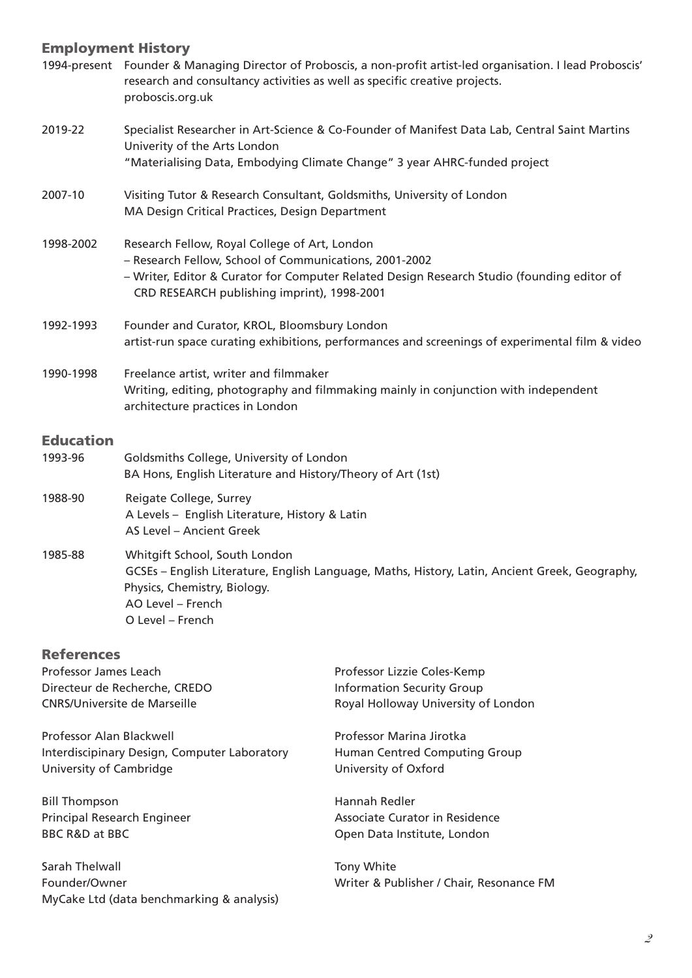# Employment History

|                                                                                                                    | $\blacksquare$<br>1994-present Founder & Managing Director of Proboscis, a non-profit artist-led organisation. I lead Proboscis'<br>research and consultancy activities as well as specific creative projects.<br>proboscis.org.uk                   |                                                                                                         |  |  |  |
|--------------------------------------------------------------------------------------------------------------------|------------------------------------------------------------------------------------------------------------------------------------------------------------------------------------------------------------------------------------------------------|---------------------------------------------------------------------------------------------------------|--|--|--|
| 2019-22                                                                                                            | Specialist Researcher in Art-Science & Co-Founder of Manifest Data Lab, Central Saint Martins<br>Univerity of the Arts London<br>"Materialising Data, Embodying Climate Change" 3 year AHRC-funded project                                           |                                                                                                         |  |  |  |
| 2007-10                                                                                                            | Visiting Tutor & Research Consultant, Goldsmiths, University of London<br>MA Design Critical Practices, Design Department                                                                                                                            |                                                                                                         |  |  |  |
| 1998-2002                                                                                                          | Research Fellow, Royal College of Art, London<br>- Research Fellow, School of Communications, 2001-2002<br>- Writer, Editor & Curator for Computer Related Design Research Studio (founding editor of<br>CRD RESEARCH publishing imprint), 1998-2001 |                                                                                                         |  |  |  |
| 1992-1993                                                                                                          | Founder and Curator, KROL, Bloomsbury London<br>artist-run space curating exhibitions, performances and screenings of experimental film & video                                                                                                      |                                                                                                         |  |  |  |
| 1990-1998                                                                                                          | Freelance artist, writer and filmmaker<br>Writing, editing, photography and filmmaking mainly in conjunction with independent<br>architecture practices in London                                                                                    |                                                                                                         |  |  |  |
| <b>Education</b><br>1993-96                                                                                        | Goldsmiths College, University of London<br>BA Hons, English Literature and History/Theory of Art (1st)                                                                                                                                              |                                                                                                         |  |  |  |
| 1988-90                                                                                                            | Reigate College, Surrey<br>A Levels - English Literature, History & Latin<br>AS Level - Ancient Greek                                                                                                                                                |                                                                                                         |  |  |  |
| 1985-88                                                                                                            | Whitgift School, South London<br>GCSEs - English Literature, English Language, Maths, History, Latin, Ancient Greek, Geography,<br>Physics, Chemistry, Biology.<br>AO Level - French<br>O Level - French                                             |                                                                                                         |  |  |  |
| <b>References</b><br>Professor James Leach<br>Directeur de Recherche, CREDO<br><b>CNRS/Universite de Marseille</b> |                                                                                                                                                                                                                                                      | Professor Lizzie Coles-Kemp<br><b>Information Security Group</b><br>Royal Holloway University of London |  |  |  |
| Professor Alan Blackwell<br>Interdiscipinary Design, Computer Laboratory<br>University of Cambridge                |                                                                                                                                                                                                                                                      | Professor Marina Jirotka<br>Human Centred Computing Group<br>University of Oxford                       |  |  |  |
| <b>Bill Thompson</b><br>Principal Research Engineer<br><b>BBC R&amp;D at BBC</b>                                   |                                                                                                                                                                                                                                                      | Hannah Redler<br>Associate Curator in Residence<br>Open Data Institute, London                          |  |  |  |

Sarah Thelwall **Tony White** Tony White Founder/Owner Writer & Publisher / Chair, Resonance FM MyCake Ltd (data benchmarking & analysis)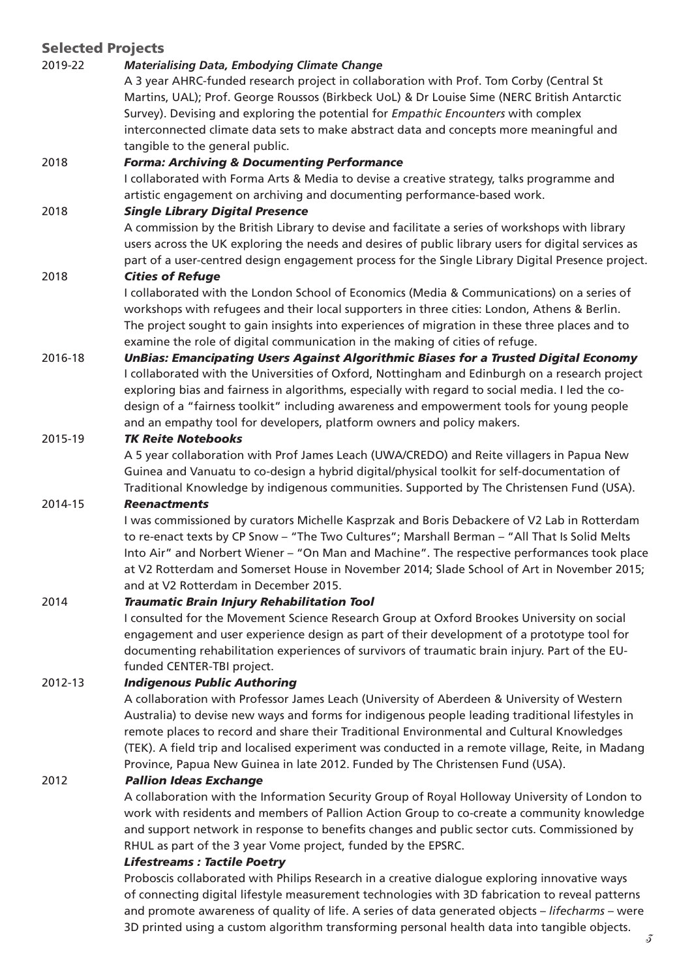# Selected Projects

# 2019-22 *Materialising Data, Embodying Climate Change*

A 3 year AHRC-funded research project in collaboration with Prof. Tom Corby (Central St Martins, UAL); Prof. George Roussos (Birkbeck UoL) & Dr Louise Sime (NERC British Antarctic Survey). Devising and exploring the potential for *Empathic Encounters* with complex interconnected climate data sets to make abstract data and concepts more meaningful and tangible to the general public.

## 2018 *Forma: Archiving & Documenting Performance*

I collaborated with Forma Arts & Media to devise a creative strategy, talks programme and artistic engagement on archiving and documenting performance-based work.

## 2018 *Single Library Digital Presence*

A commission by the British Library to devise and facilitate a series of workshops with library users across the UK exploring the needs and desires of public library users for digital services as part of a user-centred design engagement process for the Single Library Digital Presence project.

#### 2018 *Cities of Refuge*

I collaborated with the London School of Economics (Media & Communications) on a series of workshops with refugees and their local supporters in three cities: London, Athens & Berlin. The project sought to gain insights into experiences of migration in these three places and to examine the role of digital communication in the making of cities of refuge.

2016-18 *UnBias: Emancipating Users Against Algorithmic Biases for a Trusted Digital Economy*  I collaborated with the Universities of Oxford, Nottingham and Edinburgh on a research project exploring bias and fairness in algorithms, especially with regard to social media. I led the codesign of a "fairness toolkit" including awareness and empowerment tools for young people and an empathy tool for developers, platform owners and policy makers.

## 2015-19 *TK Reite Notebooks*

A 5 year collaboration with Prof James Leach (UWA/CREDO) and Reite villagers in Papua New Guinea and Vanuatu to co-design a hybrid digital/physical toolkit for self-documentation of Traditional Knowledge by indigenous communities. Supported by The Christensen Fund (USA).

## 2014-15 *Reenactments*

I was commissioned by curators Michelle Kasprzak and Boris Debackere of V2 Lab in Rotterdam to re-enact texts by CP Snow – "The Two Cultures"; Marshall Berman – "All That Is Solid Melts Into Air" and Norbert Wiener – "On Man and Machine". The respective performances took place at V2 Rotterdam and Somerset House in November 2014; Slade School of Art in November 2015; and at V2 Rotterdam in December 2015.

## 2014 *Traumatic Brain Injury Rehabilitation Tool*

I consulted for the Movement Science Research Group at Oxford Brookes University on social engagement and user experience design as part of their development of a prototype tool for documenting rehabilitation experiences of survivors of traumatic brain injury. Part of the EUfunded CENTER-TBI project.

## 2012-13 *Indigenous Public Authoring*

A collaboration with Professor James Leach (University of Aberdeen & University of Western Australia) to devise new ways and forms for indigenous people leading traditional lifestyles in remote places to record and share their Traditional Environmental and Cultural Knowledges (TEK). A field trip and localised experiment was conducted in a remote village, Reite, in Madang Province, Papua New Guinea in late 2012. Funded by The Christensen Fund (USA).

## 2012 *Pallion Ideas Exchange*

A collaboration with the Information Security Group of Royal Holloway University of London to work with residents and members of Pallion Action Group to co-create a community knowledge and support network in response to benefits changes and public sector cuts. Commissioned by RHUL as part of the 3 year Vome project, funded by the EPSRC.

#### *Lifestreams : Tactile Poetry*

Proboscis collaborated with Philips Research in a creative dialogue exploring innovative ways of connecting digital lifestyle measurement technologies with 3D fabrication to reveal patterns and promote awareness of quality of life. A series of data generated objects – *lifecharms* – were 3D printed using a custom algorithm transforming personal health data into tangible objects.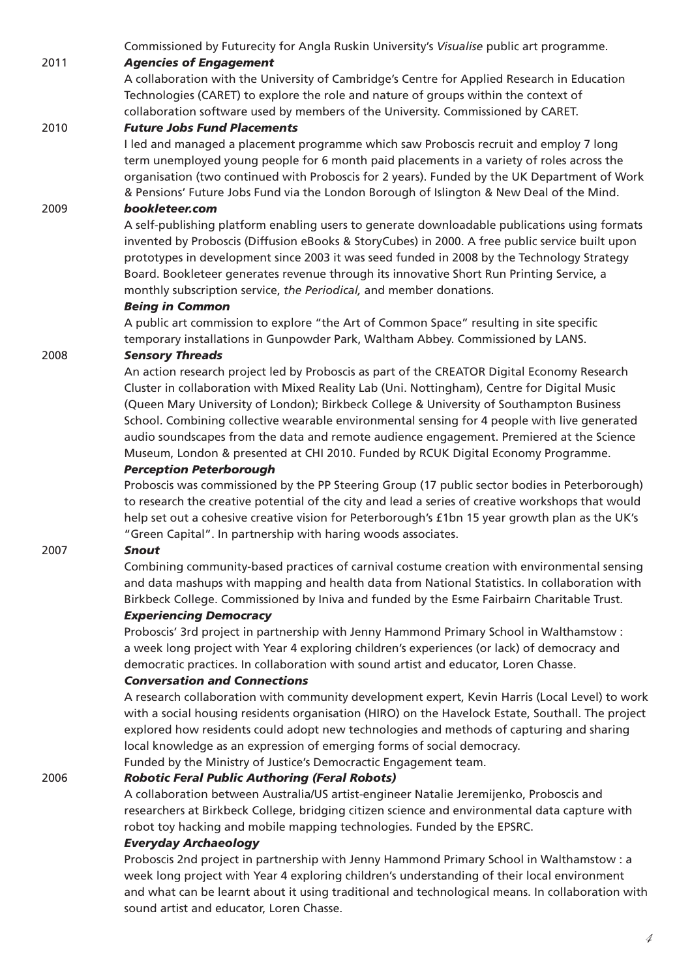Commissioned by Futurecity for Angla Ruskin University's *Visualise* public art programme.

# 2011 *Agencies of Engagement*

A collaboration with the University of Cambridge's Centre for Applied Research in Education Technologies (CARET) to explore the role and nature of groups within the context of collaboration software used by members of the University. Commissioned by CARET.

## 2010 *Future Jobs Fund Placements*

I led and managed a placement programme which saw Proboscis recruit and employ 7 long term unemployed young people for 6 month paid placements in a variety of roles across the organisation (two continued with Proboscis for 2 years). Funded by the UK Department of Work & Pensions' Future Jobs Fund via the London Borough of Islington & New Deal of the Mind.

## 2009 *bookleteer.com*

A self-publishing platform enabling users to generate downloadable publications using formats invented by Proboscis (Diffusion eBooks & StoryCubes) in 2000. A free public service built upon prototypes in development since 2003 it was seed funded in 2008 by the Technology Strategy Board. Bookleteer generates revenue through its innovative Short Run Printing Service, a monthly subscription service, *the Periodical,* and member donations.

#### *Being in Common*

A public art commission to explore "the Art of Common Space" resulting in site specific temporary installations in Gunpowder Park, Waltham Abbey. Commissioned by LANS.

#### 2008 *Sensory Threads*

An action research project led by Proboscis as part of the CREATOR Digital Economy Research Cluster in collaboration with Mixed Reality Lab (Uni. Nottingham), Centre for Digital Music (Queen Mary University of London); Birkbeck College & University of Southampton Business School. Combining collective wearable environmental sensing for 4 people with live generated audio soundscapes from the data and remote audience engagement. Premiered at the Science Museum, London & presented at CHI 2010. Funded by RCUK Digital Economy Programme.

#### *Perception Peterborough*

Proboscis was commissioned by the PP Steering Group (17 public sector bodies in Peterborough) to research the creative potential of the city and lead a series of creative workshops that would help set out a cohesive creative vision for Peterborough's £1bn 15 year growth plan as the UK's "Green Capital". In partnership with haring woods associates.

## 2007 *Snout*

Combining community-based practices of carnival costume creation with environmental sensing and data mashups with mapping and health data from National Statistics. In collaboration with Birkbeck College. Commissioned by Iniva and funded by the Esme Fairbairn Charitable Trust.

## *Experiencing Democracy*

Proboscis' 3rd project in partnership with Jenny Hammond Primary School in Walthamstow : a week long project with Year 4 exploring children's experiences (or lack) of democracy and democratic practices. In collaboration with sound artist and educator, Loren Chasse.

#### *Conversation and Connections*

A research collaboration with community development expert, Kevin Harris (Local Level) to work with a social housing residents organisation (HIRO) on the Havelock Estate, Southall. The project explored how residents could adopt new technologies and methods of capturing and sharing local knowledge as an expression of emerging forms of social democracy.

Funded by the Ministry of Justice's Democractic Engagement team.

## 2006 *Robotic Feral Public Authoring (Feral Robots)*

A collaboration between Australia/US artist-engineer Natalie Jeremijenko, Proboscis and researchers at Birkbeck College, bridging citizen science and environmental data capture with robot toy hacking and mobile mapping technologies. Funded by the EPSRC.

## *Everyday Archaeology*

Proboscis 2nd project in partnership with Jenny Hammond Primary School in Walthamstow : a week long project with Year 4 exploring children's understanding of their local environment and what can be learnt about it using traditional and technological means. In collaboration with sound artist and educator, Loren Chasse.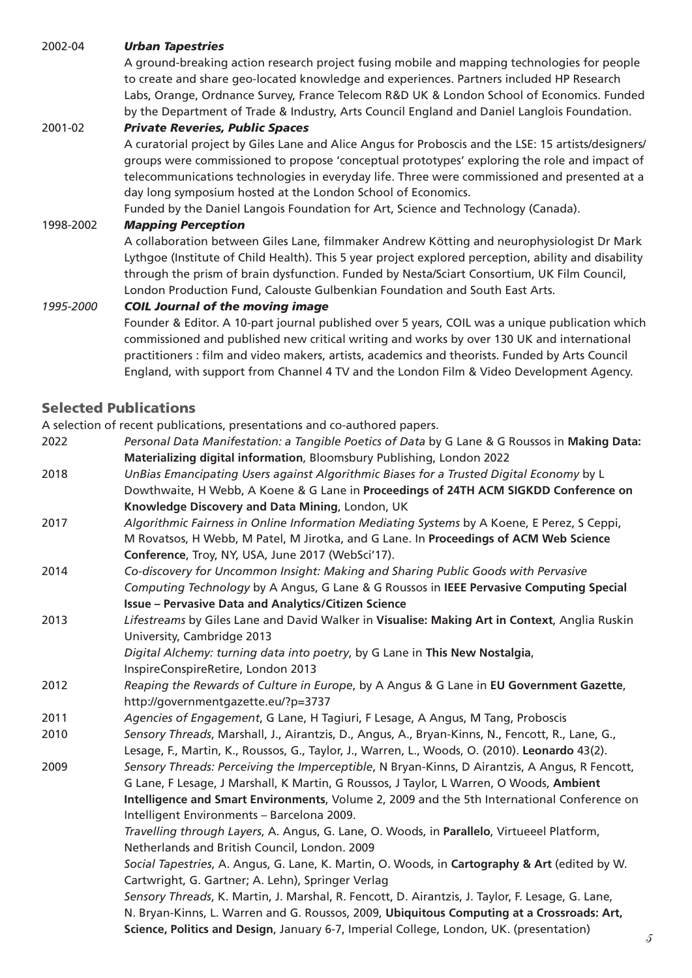## 2002-04 *Urban Tapestries*

A ground-breaking action research project fusing mobile and mapping technologies for people to create and share geo-located knowledge and experiences. Partners included HP Research Labs, Orange, Ordnance Survey, France Telecom R&D UK & London School of Economics. Funded by the Department of Trade & Industry, Arts Council England and Daniel Langlois Foundation.

## 2001-02 *Private Reveries, Public Spaces*

A curatorial project by Giles Lane and Alice Angus for Proboscis and the LSE: 15 artists/designers/ groups were commissioned to propose 'conceptual prototypes' exploring the role and impact of telecommunications technologies in everyday life. Three were commissioned and presented at a day long symposium hosted at the London School of Economics.

Funded by the Daniel Langois Foundation for Art, Science and Technology (Canada).

#### 1998-2002 *Mapping Perception*

A collaboration between Giles Lane, filmmaker Andrew Kötting and neurophysiologist Dr Mark Lythgoe (Institute of Child Health). This 5 year project explored perception, ability and disability through the prism of brain dysfunction. Funded by Nesta/Sciart Consortium, UK Film Council, London Production Fund, Calouste Gulbenkian Foundation and South East Arts.

#### *1995-2000 COIL Journal of the moving image*

Founder & Editor. A 10-part journal published over 5 years, COIL was a unique publication which commissioned and published new critical writing and works by over 130 UK and international practitioners : film and video makers, artists, academics and theorists. Funded by Arts Council England, with support from Channel 4 TV and the London Film & Video Development Agency.

## Selected Publications

A selection of recent publications, presentations and co-authored papers.

- 2022 *Personal Data Manifestation: a Tangible Poetics of Data* by G Lane & G Roussos in **Making Data: Materializing digital information**, Bloomsbury Publishing, London 2022
- 2018 *UnBias Emancipating Users against Algorithmic Biases for a Trusted Digital Economy* by L Dowthwaite, H Webb, A Koene & G Lane in **Proceedings of 24TH ACM SIGKDD Conference on Knowledge Discovery and Data Mining**, London, UK
- 2017 *Algorithmic Fairness in Online Information Mediating Systems* by A Koene, E Perez, S Ceppi, M Rovatsos, H Webb, M Patel, M Jirotka, and G Lane. In **Proceedings of ACM Web Science Conference**, Troy, NY, USA, June 2017 (WebSci'17).
- 2014 *Co-discovery for Uncommon Insight: Making and Sharing Public Goods with Pervasive Computing Technology* by A Angus, G Lane & G Roussos in **IEEE Pervasive Computing Special Issue – Pervasive Data and Analytics/Citizen Science**
- 2013 *Lifestreams* by Giles Lane and David Walker in **Visualise: Making Art in Context**, Anglia Ruskin University, Cambridge 2013

*Digital Alchemy: turning data into poetry*, by G Lane in **This New Nostalgia**, InspireConspireRetire, London 2013

- 2012 *Reaping the Rewards of Culture in Europe*, by A Angus & G Lane in **EU Government Gazette**, http://governmentgazette.eu/?p=3737
- 2011 *Agencies of Engagement*, G Lane, H Tagiuri, F Lesage, A Angus, M Tang, Proboscis
- 2010 *Sensory Threads*, Marshall, J., Airantzis, D., Angus, A., Bryan-Kinns, N., Fencott, R., Lane, G., Lesage, F., Martin, K., Roussos, G., Taylor, J., Warren, L., Woods, O. (2010). **Leonardo** 43(2).
- 2009 *Sensory Threads: Perceiving the Imperceptible*, N Bryan-Kinns, D Airantzis, A Angus, R Fencott, G Lane, F Lesage, J Marshall, K Martin, G Roussos, J Taylor, L Warren, O Woods, **Ambient Intelligence and Smart Environments**, Volume 2, 2009 and the 5th International Conference on Intelligent Environments – Barcelona 2009.

*Travelling through Layers*, A. Angus, G. Lane, O. Woods, in **Parallelo**, Virtueeel Platform, Netherlands and British Council, London. 2009

*Social Tapestries*, A. Angus, G. Lane, K. Martin, O. Woods, in **Cartography & Art** (edited by W. Cartwright, G. Gartner; A. Lehn), Springer Verlag

*Sensory Threads*, K. Martin, J. Marshal, R. Fencott, D. Airantzis, J. Taylor, F. Lesage, G. Lane, N. Bryan-Kinns, L. Warren and G. Roussos, 2009, **Ubiquitous Computing at a Crossroads: Art, Science, Politics and Design**, January 6-7, Imperial College, London, UK. (presentation)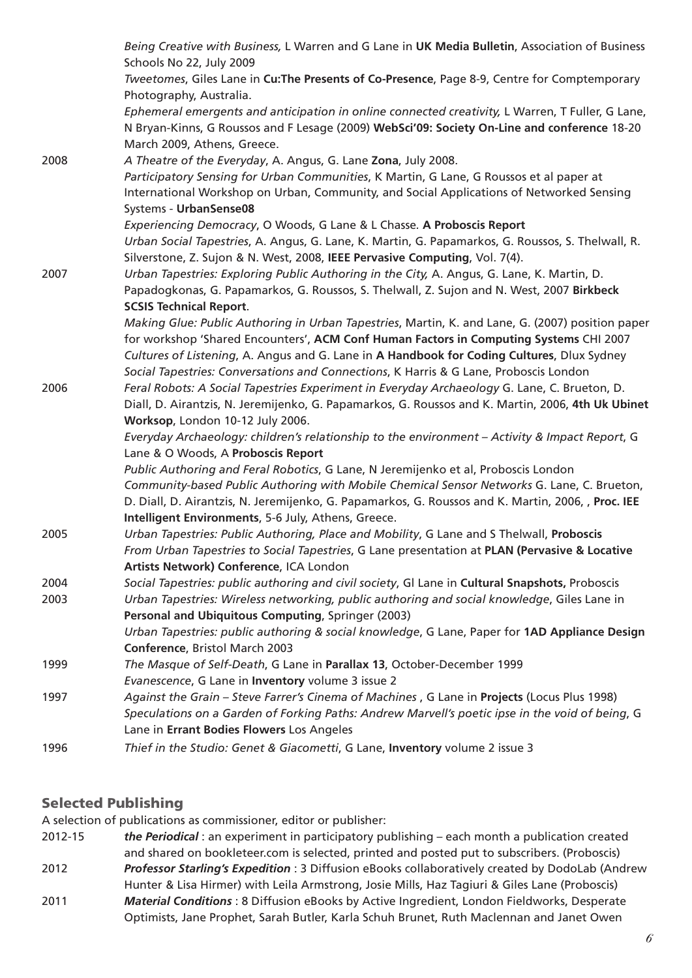|      | Being Creative with Business, L Warren and G Lane in UK Media Bulletin, Association of Business<br>Schools No 22, July 2009                               |
|------|-----------------------------------------------------------------------------------------------------------------------------------------------------------|
|      | Tweetomes, Giles Lane in Cu: The Presents of Co-Presence, Page 8-9, Centre for Comptemporary                                                              |
|      | Photography, Australia.                                                                                                                                   |
|      | Ephemeral emergents and anticipation in online connected creativity, L Warren, T Fuller, G Lane,                                                          |
|      | N Bryan-Kinns, G Roussos and F Lesage (2009) WebSci'09: Society On-Line and conference 18-20                                                              |
|      | March 2009, Athens, Greece.                                                                                                                               |
| 2008 | A Theatre of the Everyday, A. Angus, G. Lane Zona, July 2008.                                                                                             |
|      | Participatory Sensing for Urban Communities, K Martin, G Lane, G Roussos et al paper at                                                                   |
|      | International Workshop on Urban, Community, and Social Applications of Networked Sensing                                                                  |
|      | Systems - UrbanSense08                                                                                                                                    |
|      | Experiencing Democracy, O Woods, G Lane & L Chasse. A Proboscis Report                                                                                    |
|      | Urban Social Tapestries, A. Angus, G. Lane, K. Martin, G. Papamarkos, G. Roussos, S. Thelwall, R.                                                         |
|      | Silverstone, Z. Sujon & N. West, 2008, IEEE Pervasive Computing, Vol. 7(4).                                                                               |
| 2007 | Urban Tapestries: Exploring Public Authoring in the City, A. Angus, G. Lane, K. Martin, D.                                                                |
|      | Papadogkonas, G. Papamarkos, G. Roussos, S. Thelwall, Z. Sujon and N. West, 2007 Birkbeck                                                                 |
|      | <b>SCSIS Technical Report.</b>                                                                                                                            |
|      | Making Glue: Public Authoring in Urban Tapestries, Martin, K. and Lane, G. (2007) position paper                                                          |
|      | for workshop 'Shared Encounters', ACM Conf Human Factors in Computing Systems CHI 2007                                                                    |
|      | Cultures of Listening, A. Angus and G. Lane in A Handbook for Coding Cultures, Dlux Sydney                                                                |
|      | Social Tapestries: Conversations and Connections, K Harris & G Lane, Proboscis London                                                                     |
| 2006 | Feral Robots: A Social Tapestries Experiment in Everyday Archaeology G. Lane, C. Brueton, D.                                                              |
|      | Diall, D. Airantzis, N. Jeremijenko, G. Papamarkos, G. Roussos and K. Martin, 2006, 4th Uk Ubinet                                                         |
|      | Worksop, London 10-12 July 2006.                                                                                                                          |
|      | Everyday Archaeology: children's relationship to the environment - Activity & Impact Report, G                                                            |
|      | Lane & O Woods, A Proboscis Report                                                                                                                        |
|      | Public Authoring and Feral Robotics, G Lane, N Jeremijenko et al, Proboscis London                                                                        |
|      | Community-based Public Authoring with Mobile Chemical Sensor Networks G. Lane, C. Brueton,                                                                |
|      | D. Diall, D. Airantzis, N. Jeremijenko, G. Papamarkos, G. Roussos and K. Martin, 2006, , Proc. IEE<br>Intelligent Environments, 5-6 July, Athens, Greece. |
| 2005 | Urban Tapestries: Public Authoring, Place and Mobility, G Lane and S Thelwall, Proboscis                                                                  |
|      | From Urban Tapestries to Social Tapestries, G Lane presentation at PLAN (Pervasive & Locative                                                             |
|      | Artists Network) Conference, ICA London                                                                                                                   |
| 2004 | Social Tapestries: public authoring and civil society, GI Lane in Cultural Snapshots, Proboscis                                                           |
| 2003 | Urban Tapestries: Wireless networking, public authoring and social knowledge, Giles Lane in                                                               |
|      | Personal and Ubiquitous Computing, Springer (2003)                                                                                                        |
|      | Urban Tapestries: public authoring & social knowledge, G Lane, Paper for 1AD Appliance Design                                                             |
|      | Conference, Bristol March 2003                                                                                                                            |
| 1999 | The Masque of Self-Death, G Lane in Parallax 13, October-December 1999                                                                                    |
|      | Evanescence, G Lane in Inventory volume 3 issue 2                                                                                                         |
| 1997 | Against the Grain - Steve Farrer's Cinema of Machines, G Lane in Projects (Locus Plus 1998)                                                               |
|      | Speculations on a Garden of Forking Paths: Andrew Marvell's poetic ipse in the void of being, G                                                           |
|      | Lane in Errant Bodies Flowers Los Angeles                                                                                                                 |
| 1996 | Thief in the Studio: Genet & Giacometti, G Lane, Inventory volume 2 issue 3                                                                               |
|      |                                                                                                                                                           |

# Selected Publishing

A selection of publications as commissioner, editor or publisher:

2012-15 *the Periodical* : an experiment in participatory publishing – each month a publication created and shared on bookleteer.com is selected, printed and posted put to subscribers. (Proboscis) 2012 *Professor Starling's Expedition* : 3 Diffusion eBooks collaboratively created by DodoLab (Andrew Hunter & Lisa Hirmer) with Leila Armstrong, Josie Mills, Haz Tagiuri & Giles Lane (Proboscis) 2011 *Material Conditions* : 8 Diffusion eBooks by Active Ingredient, London Fieldworks, Desperate

Optimists, Jane Prophet, Sarah Butler, Karla Schuh Brunet, Ruth Maclennan and Janet Owen